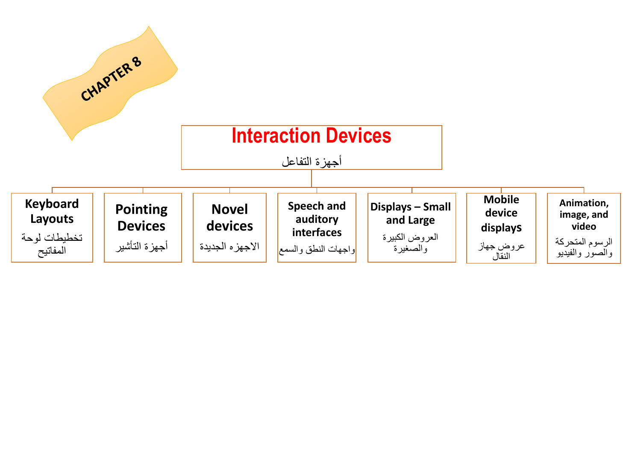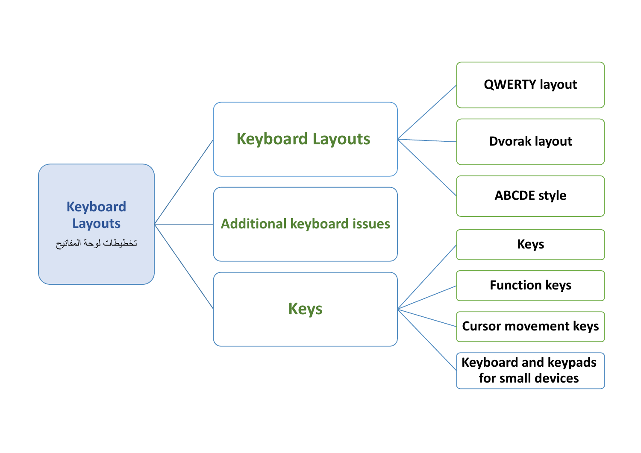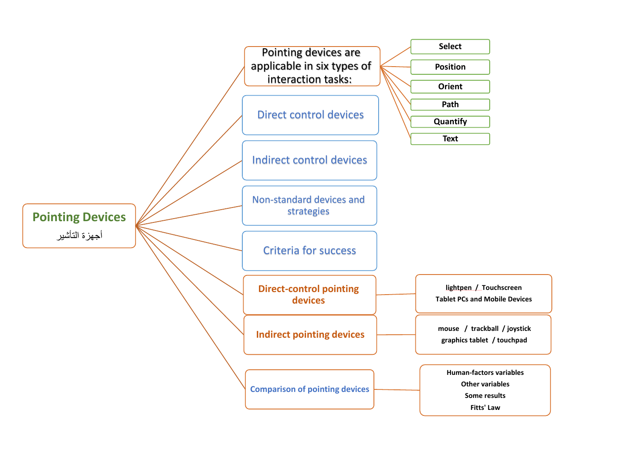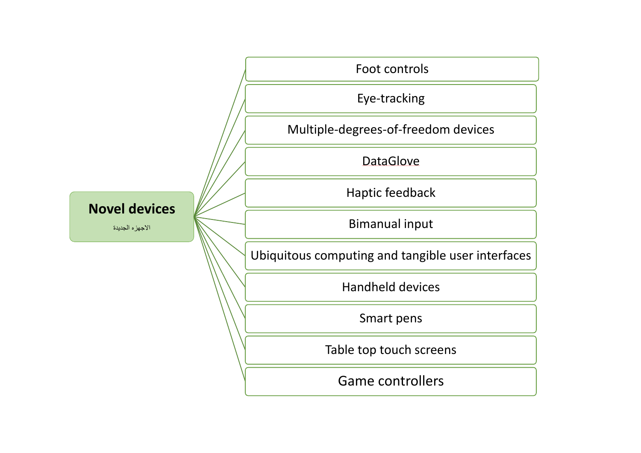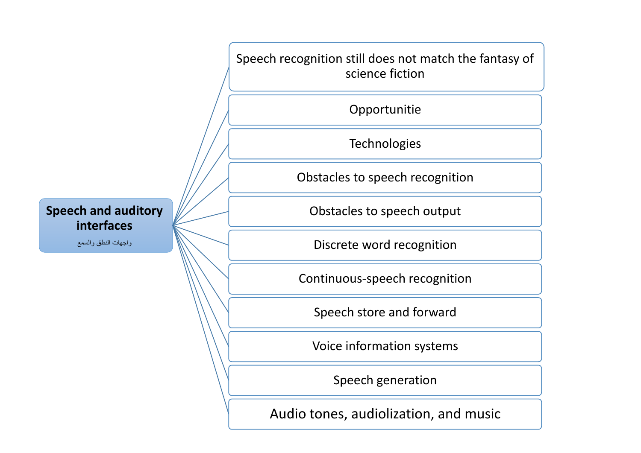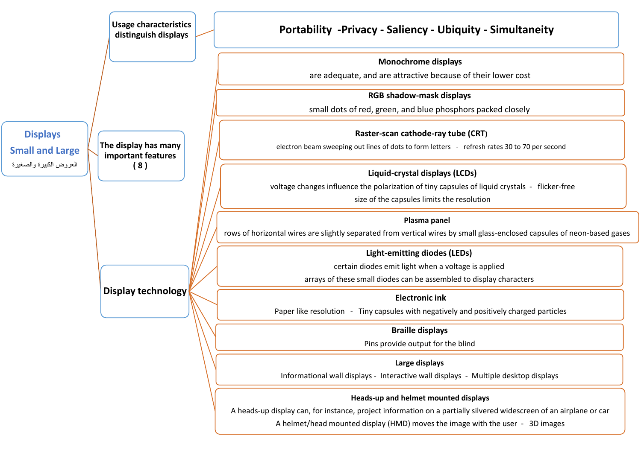